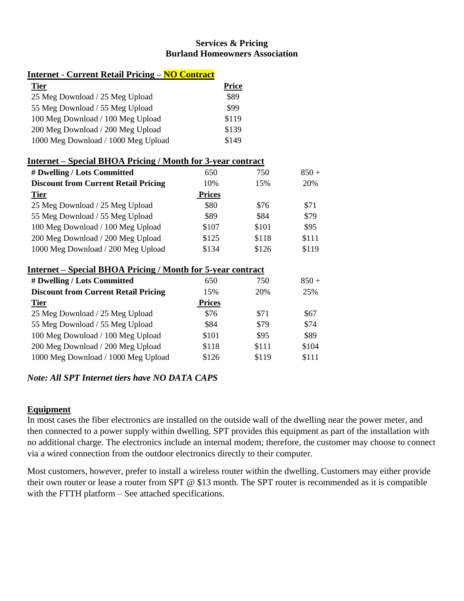# **Services & Pricing Burland Homeowners Association**

### **Internet - Current Retail Pricing – NO Contract**

| <b>Tier</b>                         | <b>Price</b> |
|-------------------------------------|--------------|
| 25 Meg Download / 25 Meg Upload     | \$89         |
| 55 Meg Download / 55 Meg Upload     | \$99         |
| 100 Meg Download / 100 Meg Upload   | \$119        |
| 200 Meg Download / 200 Meg Upload   | \$139        |
| 1000 Meg Download / 1000 Meg Upload | \$149        |

## **Internet – Special BHOA Pricing / Month for 3-year contract**

| # Dwelling / Lots Committed                 | 650           | 750   | $850 +$ |
|---------------------------------------------|---------------|-------|---------|
| <b>Discount from Current Retail Pricing</b> | 10%           | 15%   | 20%     |
| <b>Tier</b>                                 | <b>Prices</b> |       |         |
| 25 Meg Download / 25 Meg Upload             | \$80          | \$76  | \$71    |
| 55 Meg Download / 55 Meg Upload             | \$89          | \$84  | \$79    |
| 100 Meg Download / 100 Meg Upload           | \$107         | \$101 | \$95    |
| 200 Meg Download / 200 Meg Upload           | \$125         | \$118 | \$111   |
| 1000 Meg Download / 200 Meg Upload          | \$134         | \$126 | \$119   |

#### **Internet – Special BHOA Pricing / Month for 5-year contract**

| # Dwelling / Lots Committed                 | 650           | 750   | $850 +$ |
|---------------------------------------------|---------------|-------|---------|
| <b>Discount from Current Retail Pricing</b> | 15%           | 20%   | 25%     |
| <b>Tier</b>                                 | <b>Prices</b> |       |         |
| 25 Meg Download / 25 Meg Upload             | \$76          | \$71  | \$67    |
| 55 Meg Download / 55 Meg Upload             | \$84          | \$79  | \$74    |
| 100 Meg Download / 100 Meg Upload           | \$101         | \$95  | \$89    |
| 200 Meg Download / 200 Meg Upload           | \$118         | \$111 | \$104   |
| 1000 Meg Download / 1000 Meg Upload         | \$126         | \$119 | \$111   |

# *Note: All SPT Internet tiers have NO DATA CAPS*

## **Equipment**

In most cases the fiber electronics are installed on the outside wall of the dwelling near the power meter, and then connected to a power supply within dwelling. SPT provides this equipment as part of the installation with no additional charge. The electronics include an internal modem; therefore, the customer may choose to connect via a wired connection from the outdoor electronics directly to their computer.

Most customers, however, prefer to install a wireless router within the dwelling. Customers may either provide their own router or lease a router from SPT @ \$13 month. The SPT router is recommended as it is compatible with the FTTH platform – See attached specifications.